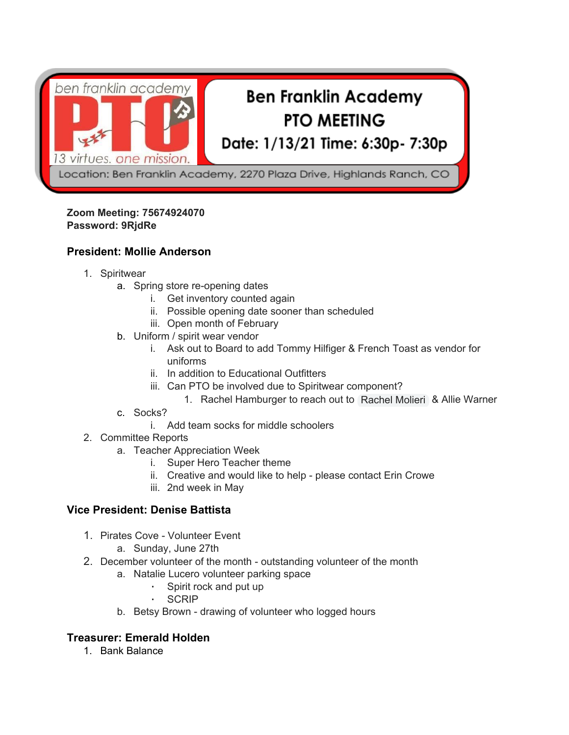

# **Ben Franklin Academy PTO MEETING**

Date: 1/13/21 Time: 6:30p- 7:30p

Location: Ben Franklin Academy, 2270 Plaza Drive, Highlands Ranch, CO

#### **Zoom Meeting: 75674924070 Password: 9RjdRe**

#### **President: Mollie Anderson**

- 1. Spiritwear
	- a. Spring store re-opening dates
		- i. Get inventory counted again
		- ii. Possible opening date sooner than scheduled
		- iii. Open month of February
	- b. Uniform / spirit wear vendor
		- i. Ask out to Board to add Tommy Hilfiger & French Toast as vendor for uniforms
		- ii. In addition to Educational Outfitters
		- iii. Can PTO be involved due to Spiritwear component?
			- 1. Rachel Hamburger to reach out to Rachel Molieri & Allie Warner
	- c. Socks?
	- i. Add team socks for middle schoolers
- 2. Committee Reports
	- a. Teacher Appreciation Week
		- i. Super Hero Teacher theme
		- ii. Creative and would like to help please contact Erin Crowe
		- iii. 2nd week in May

#### **Vice President: Denise Battista**

- 1. Pirates Cove Volunteer Event
	- a. Sunday, June 27th
- 2. December volunteer of the month outstanding volunteer of the month
	- a. Natalie Lucero volunteer parking space
		- Spirit rock and put up
		- **SCRIP**
	- b. Betsy Brown drawing of volunteer who logged hours

#### **Treasurer: Emerald Holden**

1. Bank Balance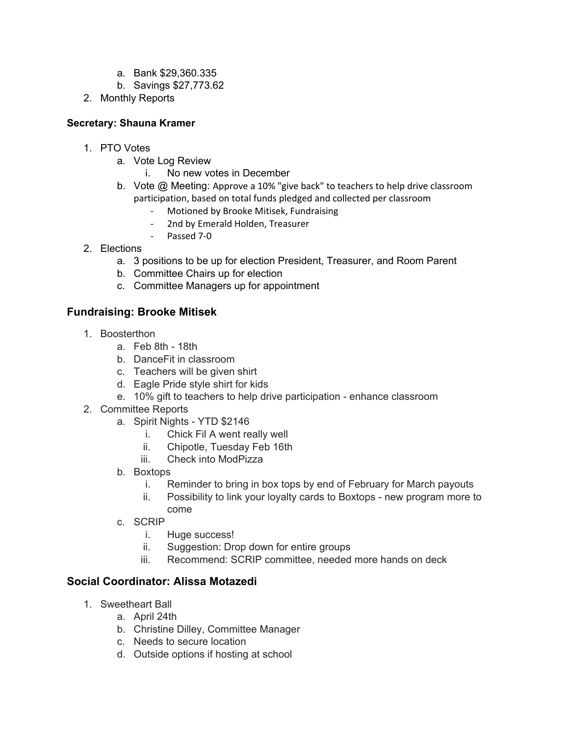- a. Bank \$29,360.335
- b. Savings \$27,773.62
- 2. Monthly Reports

#### **Secretary: Shauna Kramer**

- 1. PTO Votes
	- a. Vote Log Review
		- i. No new votes in December
	- b. Vote @ Meeting: Approve a 10% "give back" to teachers to help drive classroom participation, based on total funds pledged and collected per classroom
		- Motioned by Brooke Mitisek, Fundraising
		- 2nd by Emerald Holden, Treasurer
		- Passed 7-0
- 2. Elections
	- a. 3 positions to be up for election President, Treasurer, and Room Parent
	- b. Committee Chairs up for election
	- c. Committee Managers up for appointment

### **Fundraising: Brooke Mitisek**

- 1. Boosterthon
	- a. Feb 8th 18th
	- b. DanceFit in classroom
	- c. Teachers will be given shirt
	- d. Eagle Pride style shirt for kids
	- e. 10% gift to teachers to help drive participation enhance classroom
- 2. Committee Reports
	- a. Spirit Nights YTD \$2146
		- i. Chick Fil A went really well
		- ii. Chipotle, Tuesday Feb 16th
		- iii. Check into ModPizza
	- b. Boxtops
		- i. Reminder to bring in box tops by end of February for March payouts
		- ii. Possibility to link your loyalty cards to Boxtops new program more to come
	- c. SCRIP
		- i. Huge success!
		- ii. Suggestion: Drop down for entire groups
		- iii. Recommend: SCRIP committee, needed more hands on deck

## **Social Coordinator: Alissa Motazedi**

- 1. Sweetheart Ball
	- a. April 24th
	- b. Christine Dilley, Committee Manager
	- c. Needs to secure location
	- d. Outside options if hosting at school